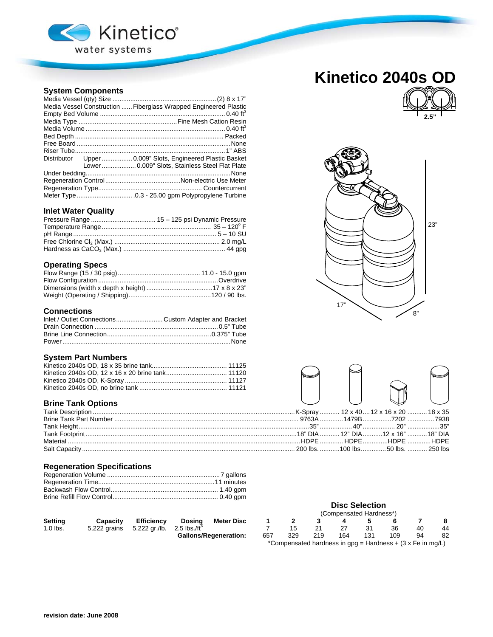

## **System Components**

| Media Vessel Construction  Fiberglass Wrapped Engineered Plastic |  |  |  |  |  |  |  |
|------------------------------------------------------------------|--|--|--|--|--|--|--|
|                                                                  |  |  |  |  |  |  |  |
|                                                                  |  |  |  |  |  |  |  |
|                                                                  |  |  |  |  |  |  |  |
|                                                                  |  |  |  |  |  |  |  |
|                                                                  |  |  |  |  |  |  |  |
|                                                                  |  |  |  |  |  |  |  |
| Distributor Upper  0.009" Slots, Engineered Plastic Basket       |  |  |  |  |  |  |  |
| Lower 0.009" Slots, Stainless Steel Flat Plate                   |  |  |  |  |  |  |  |
|                                                                  |  |  |  |  |  |  |  |
|                                                                  |  |  |  |  |  |  |  |
|                                                                  |  |  |  |  |  |  |  |
|                                                                  |  |  |  |  |  |  |  |
|                                                                  |  |  |  |  |  |  |  |

## **Inlet Water Quality**

|  | າງ" |
|--|-----|
|  |     |
|  |     |
|  |     |

## **Operating Specs**

## **Connections**

| Inlet / Outlet Connections Custom Adapter and Bracket |  |
|-------------------------------------------------------|--|
|                                                       |  |
|                                                       |  |
|                                                       |  |

### **System Part Numbers**

## **Brine Tank Options**

## **Regeneration Specifications**

| <b>Setting</b> | Capacity                                                | <b>Efficiency</b> | Dosina | Meter Disc                   |     |     |     | 4   |      |     |     |    |
|----------------|---------------------------------------------------------|-------------------|--------|------------------------------|-----|-----|-----|-----|------|-----|-----|----|
| $1.0$ lbs.     | 5,222 grains $5,222$ gr./lb. $2.5$ lbs./ft <sup>3</sup> |                   |        |                              |     |     |     |     | - 31 | 36  | -40 | 44 |
|                |                                                         |                   |        | <b>Gallons/Regeneration:</b> | 657 | 329 | 219 | 164 | 131  | 109 | 94  | 82 |

# **Kinetico 2040s OD**







# **Disc Selection**

| <b>Meter Disc</b>    |     |     |     |     | (Compensated Hardness*) |                                                              |    |    |
|----------------------|-----|-----|-----|-----|-------------------------|--------------------------------------------------------------|----|----|
|                      |     |     |     |     |                         |                                                              |    |    |
|                      |     | 15  | 21  | 27  | 31                      | 36                                                           | 40 | 44 |
| <b>Regeneration:</b> | 657 | 329 | 219 | 164 | 131                     | 109                                                          | 94 |    |
|                      |     |     |     |     |                         | *Compensated hardness in $gpg =$ Hardness + (3 x Fe in mg/L) |    |    |